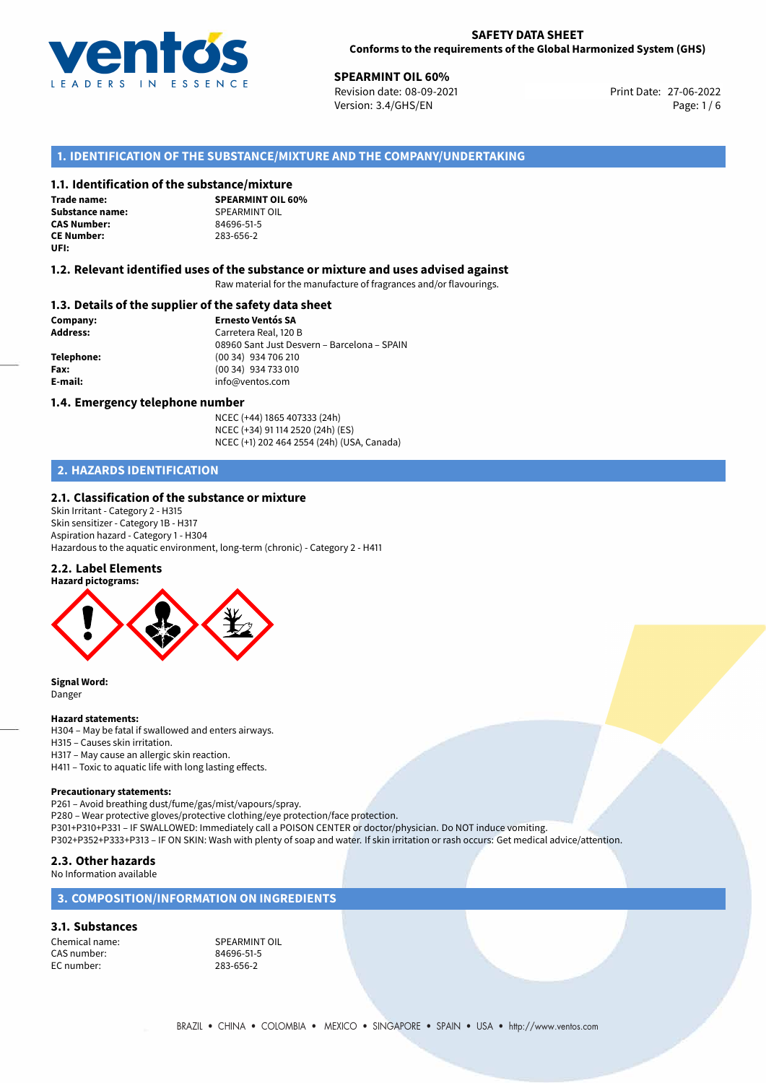

**27-06-2023 SPEARMINT OIL 60%**<br>
Revision date: 08-09-2021 **Print Date: 27-06-2022** Version: 3.4/GHS/EN Page: 1 / 6

# **1. IDENTIFICATION OF THE SUBSTANCE/MIXTURE AND THE COMPANY/UNDERTAKING**

# **1.1. Identification of the substance/mixture**

**Trade name: Substance name:** SPEARMINT OIL<br> **CAS Number:** 84696-51-5 **CAS Number: CE Number:** 283-656-2 **UFI:**

**SPEARMINT OIL 60%**

#### **1.2. Relevant identified uses of the substance or mixture and uses advised against**

Raw material for the manufacture of fragrances and/or flavourings.

### **1.3. Details of the supplier of the safety data sheet**

**Company: Ernesto Ventós SA Address:** Carretera Real, 120 B 08960 Sant Just Desvern – Barcelona – SPAIN **Telephone:** (00 34) 934 706 210 **Fax:** (00 34) 934 733 010 **E-mail:** info@ventos.com

#### **1.4. Emergency telephone number**

NCEC (+44) 1865 407333 (24h) NCEC (+34) 91 114 2520 (24h) (ES) NCEC (+1) 202 464 2554 (24h) (USA, Canada)

# **2. HAZARDS IDENTIFICATION**

### **2.1. Classification of the substance or mixture**

Skin Irritant - Category 2 - H315 Skin sensitizer - Category 1B - H317 Aspiration hazard - Category 1 - H304 Hazardous to the aquatic environment, long-term (chronic) - Category 2 - H411

#### **2.2. Label Elements**



**Signal Word:** Danger

#### **Hazard statements:**

H304 – May be fatal if swallowed and enters airways.

H315 – Causes skin irritation.

H317 – May cause an allergic skin reaction.

H411 – Toxic to aquatic life with long lasting effects.

#### **Precautionary statements:**

P261 – Avoid breathing dust/fume/gas/mist/vapours/spray. P280 – Wear protective gloves/protective clothing/eye protection/face protection. P301+P310+P331 – IF SWALLOWED: Immediately call a POISON CENTER or doctor/physician. Do NOT induce vomiting.

P302+P352+P333+P313 – IF ON SKIN: Wash with plenty of soap and water. If skin irritation or rash occurs: Get medical advice/attention.

# **2.3. Other hazards**

### No Information available

# **3. COMPOSITION/INFORMATION ON INGREDIENTS**

#### **3.1. Substances**

CAS number: EC number: 283-656-2

Chemical name:<br>
CAS number:<br>
CAS number:<br>
S4696-51-5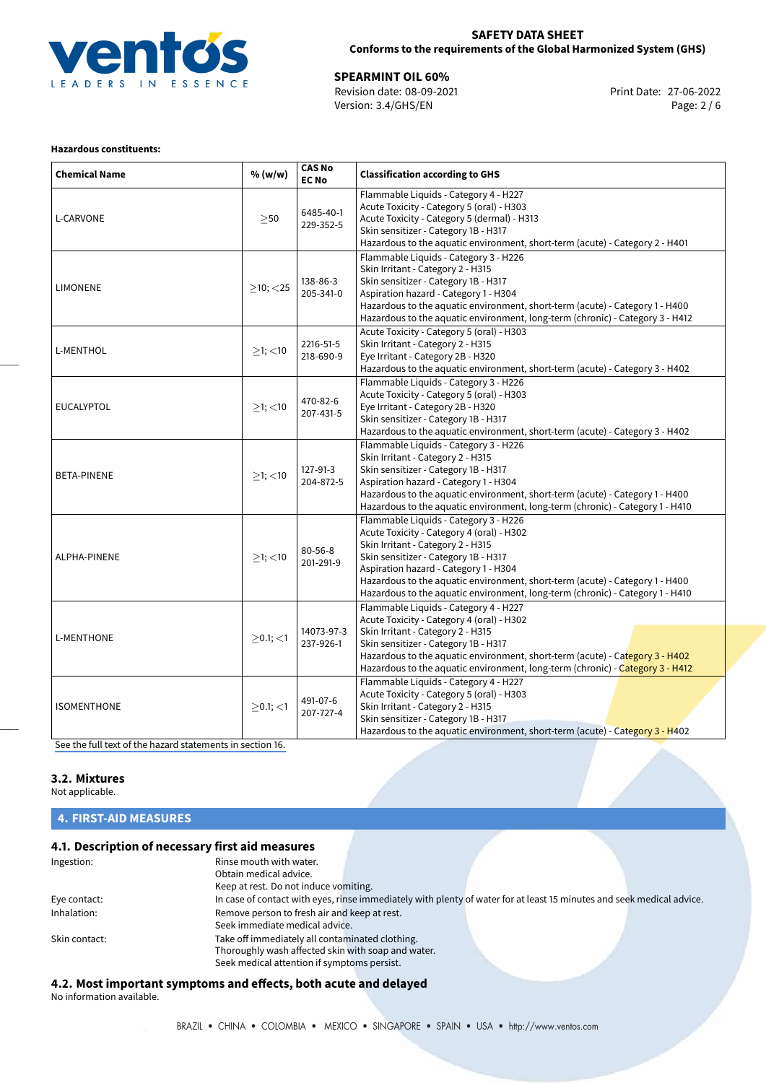

# **SAFETY DATA SHEET Conforms to the requirements of the Global Harmonized System (GHS)**

**27-06-2022 SPEARMINT OIL 60%**<br>
Revision date: 08-09-2021 **Print Date: 27-06-2022** Version: 3.4/GHS/EN Page: 2 / 6

# **Hazardous constituents:**

| <b>Chemical Name</b> | % (w/w)        | <b>CAS No</b><br><b>EC No</b> | <b>Classification according to GHS</b>                                                                                                                                                                                                                                                                                                                                    |  |
|----------------------|----------------|-------------------------------|---------------------------------------------------------------------------------------------------------------------------------------------------------------------------------------------------------------------------------------------------------------------------------------------------------------------------------------------------------------------------|--|
| L-CARVONE            | $\geq$ 50      | 6485-40-1<br>229-352-5        | Flammable Liquids - Category 4 - H227<br>Acute Toxicity - Category 5 (oral) - H303<br>Acute Toxicity - Category 5 (dermal) - H313<br>Skin sensitizer - Category 1B - H317<br>Hazardous to the aquatic environment, short-term (acute) - Category 2 - H401                                                                                                                 |  |
| <b>LIMONENE</b>      | $>10$ ; $<$ 25 | 138-86-3<br>205-341-0         | Flammable Liquids - Category 3 - H226<br>Skin Irritant - Category 2 - H315<br>Skin sensitizer - Category 1B - H317<br>Aspiration hazard - Category 1 - H304<br>Hazardous to the aquatic environment, short-term (acute) - Category 1 - H400<br>Hazardous to the aquatic environment, long-term (chronic) - Category 3 - H412                                              |  |
| L-MENTHOL            | $≥1;$ < 10     | 2216-51-5<br>218-690-9        | Acute Toxicity - Category 5 (oral) - H303<br>Skin Irritant - Category 2 - H315<br>Eye Irritant - Category 2B - H320<br>Hazardous to the aquatic environment, short-term (acute) - Category 3 - H402                                                                                                                                                                       |  |
| EUCALYPTOL           | $\geq$ 1; <10  | 470-82-6<br>207-431-5         | Flammable Liquids - Category 3 - H226<br>Acute Toxicity - Category 5 (oral) - H303<br>Eye Irritant - Category 2B - H320<br>Skin sensitizer - Category 1B - H317<br>Hazardous to the aquatic environment, short-term (acute) - Category 3 - H402                                                                                                                           |  |
| <b>BETA-PINENE</b>   | $≥1;$ < 10     | 127-91-3<br>204-872-5         | Flammable Liquids - Category 3 - H226<br>Skin Irritant - Category 2 - H315<br>Skin sensitizer - Category 1B - H317<br>Aspiration hazard - Category 1 - H304<br>Hazardous to the aquatic environment, short-term (acute) - Category 1 - H400<br>Hazardous to the aquatic environment, long-term (chronic) - Category 1 - H410                                              |  |
| ALPHA-PINENE         | $≥1;$ < 10     | $80 - 56 - 8$<br>201-291-9    | Flammable Liquids - Category 3 - H226<br>Acute Toxicity - Category 4 (oral) - H302<br>Skin Irritant - Category 2 - H315<br>Skin sensitizer - Category 1B - H317<br>Aspiration hazard - Category 1 - H304<br>Hazardous to the aquatic environment, short-term (acute) - Category 1 - H400<br>Hazardous to the aquatic environment, long-term (chronic) - Category 1 - H410 |  |
| L-MENTHONE           | $>0.1$ ; $<$ 1 | 14073-97-3<br>237-926-1       | Flammable Liquids - Category 4 - H227<br>Acute Toxicity - Category 4 (oral) - H302<br>Skin Irritant - Category 2 - H315<br>Skin sensitizer - Category 1B - H317<br>Hazardous to the aquatic environment, short-term (acute) - Category 3 - H402<br>Hazardous to the aquatic environment, long-term (chronic) - Category 3 - H412                                          |  |
| <b>ISOMENTHONE</b>   | $>0.1$ ; $<$ 1 | 491-07-6<br>207-727-4         | Flammable Liquids - Category 4 - H227<br>Acute Toxicity - Category 5 (oral) - H303<br>Skin Irritant - Category 2 - H315<br>Skin sensitizer - Category 1B - H317<br>Hazardous to the aquatic environment, short-term (acute) - Category 3 - H402                                                                                                                           |  |

[See the full text of the hazard statements in section 16.](#page-4-0)

# **3.2. Mixtures**

Not applicable.

# **4. FIRST-AID MEASURES**

# **4.1. Description of necessary first aid measures**

| Ingestion:    | Rinse mouth with water.                            |                                                                                                                       |  |
|---------------|----------------------------------------------------|-----------------------------------------------------------------------------------------------------------------------|--|
|               | Obtain medical advice.                             |                                                                                                                       |  |
|               | Keep at rest. Do not induce vomiting.              |                                                                                                                       |  |
| Eye contact:  |                                                    | In case of contact with eyes, rinse immediately with plenty of water for at least 15 minutes and seek medical advice. |  |
| Inhalation:   | Remove person to fresh air and keep at rest.       |                                                                                                                       |  |
|               | Seek immediate medical advice.                     |                                                                                                                       |  |
| Skin contact: | Take off immediately all contaminated clothing.    |                                                                                                                       |  |
|               | Thoroughly wash affected skin with soap and water. |                                                                                                                       |  |
|               | Seek medical attention if symptoms persist.        |                                                                                                                       |  |

# **4.2. Most important symptoms and effects, both acute and delayed**

No information available.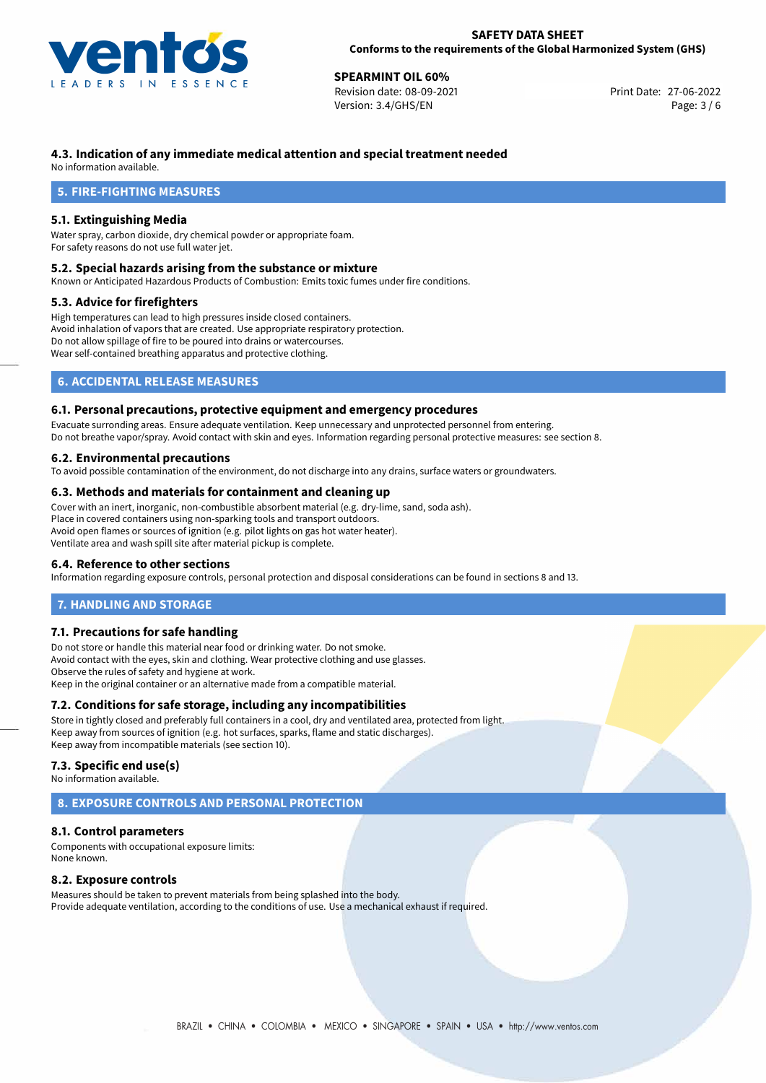

**27-06-2022 SPEARMINT OIL 60%**<br>
Revision date: 08-09-2021 **Print Date: 27-06-2022** Version: 3.4/GHS/EN Page: 3 / 6

# **4.3. Indication of any immediate medical attention and special treatment needed**

No information available.

# **5. FIRE-FIGHTING MEASURES**

# **5.1. Extinguishing Media**

Water spray, carbon dioxide, dry chemical powder or appropriate foam. For safety reasons do not use full water jet.

### **5.2. Special hazards arising from the substance or mixture**

Known or Anticipated Hazardous Products of Combustion: Emits toxic fumes under fire conditions.

# **5.3. Advice for firefighters**

High temperatures can lead to high pressures inside closed containers. Avoid inhalation of vapors that are created. Use appropriate respiratory protection. Do not allow spillage of fire to be poured into drains or watercourses. Wear self-contained breathing apparatus and protective clothing.

# **6. ACCIDENTAL RELEASE MEASURES**

# **6.1. Personal precautions, protective equipment and emergency procedures**

Evacuate surronding areas. Ensure adequate ventilation. Keep unnecessary and unprotected personnel from entering. Do not breathe vapor/spray. Avoid contact with skin and eyes. Information regarding personal protective measures: see section 8.

# **6.2. Environmental precautions**

To avoid possible contamination of the environment, do not discharge into any drains, surface waters or groundwaters.

### **6.3. Methods and materials for containment and cleaning up**

Cover with an inert, inorganic, non-combustible absorbent material (e.g. dry-lime, sand, soda ash). Place in covered containers using non-sparking tools and transport outdoors. Avoid open flames or sources of ignition (e.g. pilot lights on gas hot water heater). Ventilate area and wash spill site after material pickup is complete.

# **6.4. Reference to other sections**

Information regarding exposure controls, personal protection and disposal considerations can be found in sections 8 and 13.

# **7. HANDLING AND STORAGE**

# **7.1. Precautions for safe handling**

Do not store or handle this material near food or drinking water. Do not smoke. Avoid contact with the eyes, skin and clothing. Wear protective clothing and use glasses. Observe the rules of safety and hygiene at work. Keep in the original container or an alternative made from a compatible material.

# **7.2. Conditions for safe storage, including any incompatibilities**

Store in tightly closed and preferably full containers in a cool, dry and ventilated area, protected from light. Keep away from sources of ignition (e.g. hot surfaces, sparks, flame and static discharges). Keep away from incompatible materials (see section 10).

#### **7.3. Specific end use(s)**

No information available.

# **8. EXPOSURE CONTROLS AND PERSONAL PROTECTION**

# **8.1. Control parameters**

Components with occupational exposure limits: None known.

# **8.2. Exposure controls**

Measures should be taken to prevent materials from being splashed into the body. Provide adequate ventilation, according to the conditions of use. Use a mechanical exhaust if required.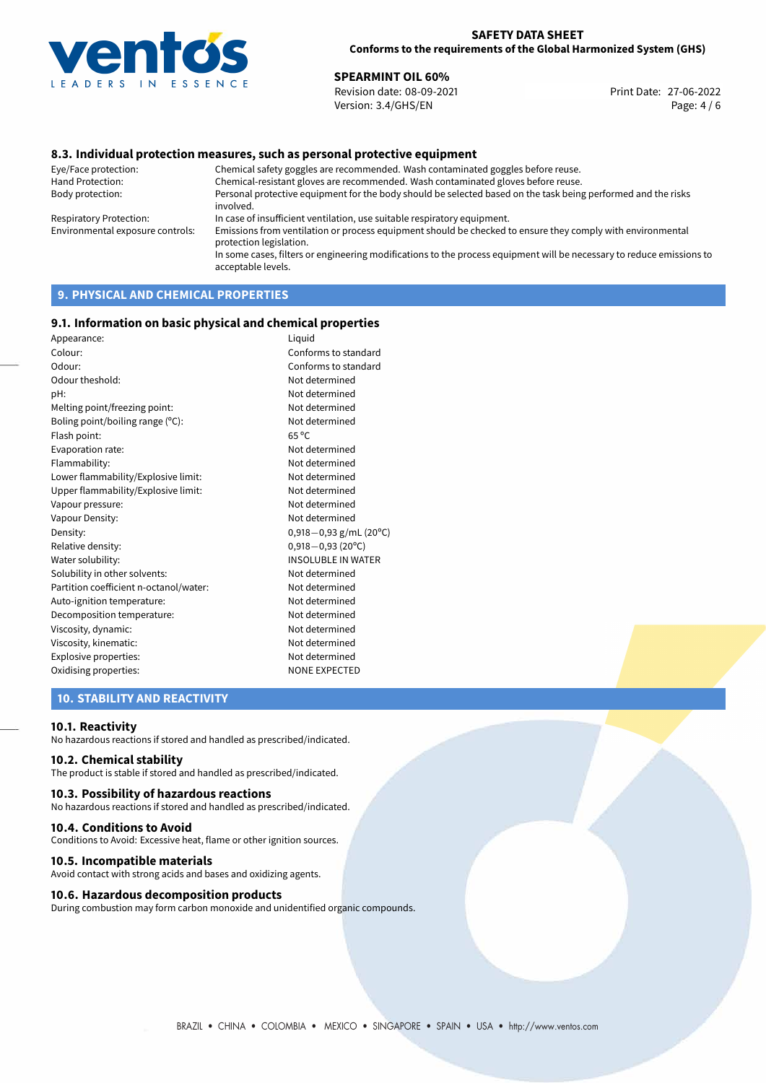

**27-06-2022 SPEARMINT OIL 60%**<br>
Revision date: 08-09-2021 **Print Date: 27-06-2022** Version: 3.4/GHS/EN Page: 4 / 6

# **8.3. Individual protection measures, such as personal protective equipment**

Eye/Face protection: Chemical safety goggles are recommended. Wash contaminated goggles before reuse. Chemical-resistant gloves are recommended. Wash contaminated gloves before reuse. Body protection: Personal protective equipment for the body should be selected based on the task being performed and the risks involved. Respiratory Protection: In case of insufficient ventilation, use suitable respiratory equipment. Environmental exposure controls: Emissions from ventilation or process equipment should be checked to ensure they comply with environmental protection legislation. In some cases, filters or engineering modifications to the process equipment will be necessary to reduce emissions to acceptable levels.

# **9. PHYSICAL AND CHEMICAL PROPERTIES**

### **9.1. Information on basic physical and chemical properties**

| Appearance:                            | Liquid                      |
|----------------------------------------|-----------------------------|
| Colour:                                | Conforms to standard        |
| Odour:                                 | Conforms to standard        |
| Odour theshold:                        | Not determined              |
| pH:                                    | Not determined              |
| Melting point/freezing point:          | Not determined              |
| Boling point/boiling range (°C):       | Not determined              |
| Flash point:                           | $65^{\circ}$ C              |
| Evaporation rate:                      | Not determined              |
| Flammability:                          | Not determined              |
| Lower flammability/Explosive limit:    | Not determined              |
| Upper flammability/Explosive limit:    | Not determined              |
| Vapour pressure:                       | Not determined              |
| Vapour Density:                        | Not determined              |
| Density:                               | $0,918-0,93$ g/mL (20°C)    |
| Relative density:                      | $0,918 - 0,93(20^{\circ}C)$ |
| Water solubility:                      | <b>INSOLUBLE IN WATER</b>   |
| Solubility in other solvents:          | Not determined              |
| Partition coefficient n-octanol/water: | Not determined              |
| Auto-ignition temperature:             | Not determined              |
| Decomposition temperature:             | Not determined              |
| Viscosity, dynamic:                    | Not determined              |
| Viscosity, kinematic:                  | Not determined              |
| Explosive properties:                  | Not determined              |
| Oxidising properties:                  | <b>NONE EXPECTED</b>        |
|                                        |                             |

# **10. STABILITY AND REACTIVITY**

#### **10.1. Reactivity**

No hazardous reactions if stored and handled as prescribed/indicated.

# **10.2. Chemical stability**

The product is stable if stored and handled as prescribed/indicated.

#### **10.3. Possibility of hazardous reactions**

No hazardous reactions if stored and handled as prescribed/indicated.

#### **10.4. Conditions to Avoid**

Conditions to Avoid: Excessive heat, flame or other ignition sources.

#### **10.5. Incompatible materials**

Avoid contact with strong acids and bases and oxidizing agents.

# **10.6. Hazardous decomposition products**

During combustion may form carbon monoxide and unidentified organic compounds.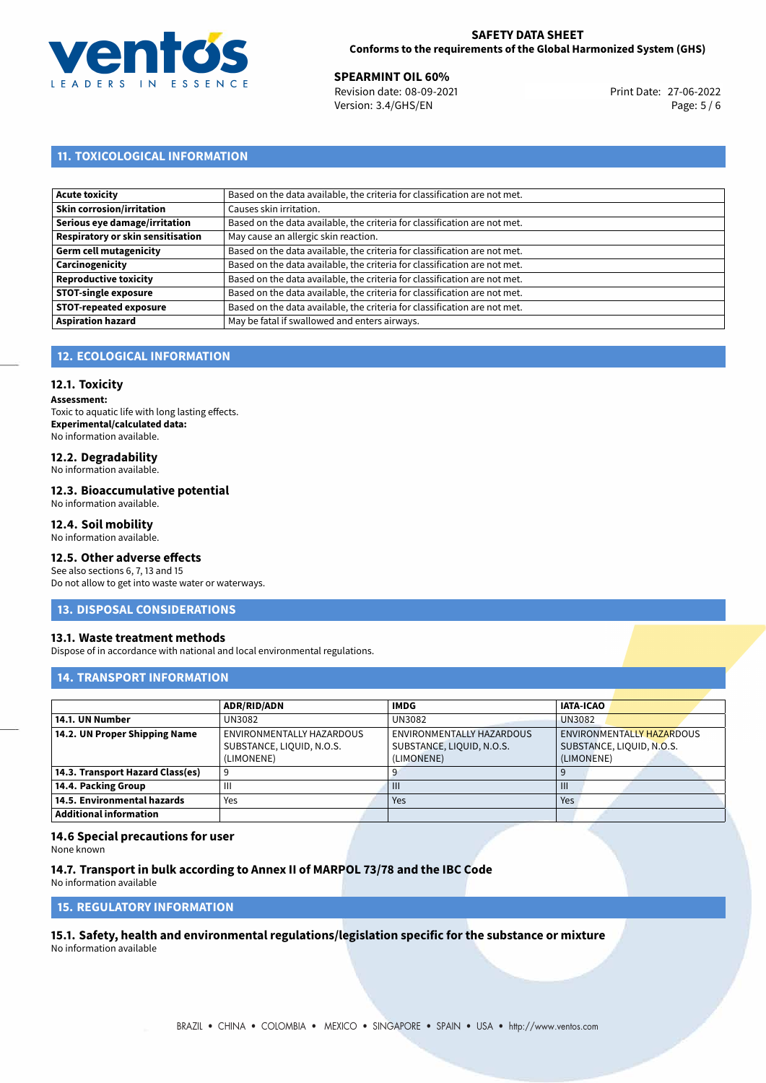

**27-06-2022 SPEARMINT OIL 60%**<br>
Revision date: 08-09-2021 **Print Date: 27-06-2022** Version: 3.4/GHS/EN Page: 5 / 6

# **11. TOXICOLOGICAL INFORMATION**

| Acute toxicity                    | Based on the data available, the criteria for classification are not met. |
|-----------------------------------|---------------------------------------------------------------------------|
| Skin corrosion/irritation         | Causes skin irritation.                                                   |
| Serious eye damage/irritation     | Based on the data available, the criteria for classification are not met. |
| Respiratory or skin sensitisation | May cause an allergic skin reaction.                                      |
| Germ cell mutagenicity            | Based on the data available, the criteria for classification are not met. |
| <b>Carcinogenicity</b>            | Based on the data available, the criteria for classification are not met. |
| Reproductive toxicity             | Based on the data available, the criteria for classification are not met. |
| <b>STOT-single exposure</b>       | Based on the data available, the criteria for classification are not met. |
| <b>STOT-repeated exposure</b>     | Based on the data available, the criteria for classification are not met. |
| <b>Aspiration hazard</b>          | May be fatal if swallowed and enters airways.                             |

# **12. ECOLOGICAL INFORMATION**

# **12.1. Toxicity**

**Assessment:** Toxic to aquatic life with long lasting effects. **Experimental/calculated data:** No information available.

# **12.2. Degradability**

No information available.

# **12.3. Bioaccumulative potential**

No information available.

# **12.4. Soil mobility**

No information available.

# **12.5. Other adverse effects**

See also sections 6, 7, 13 and 15 Do not allow to get into waste water or waterways.

# **13. DISPOSAL CONSIDERATIONS**

# **13.1. Waste treatment methods**

Dispose of in accordance with national and local environmental regulations.

# **14. TRANSPORT INFORMATION**

|                                  | <b>ADR/RID/ADN</b>        | <b>IMDG</b>               | <b>IATA-ICAO</b>          |  |
|----------------------------------|---------------------------|---------------------------|---------------------------|--|
| 14.1. UN Number                  | UN3082                    | UN3082                    | <b>UN3082</b>             |  |
| 14.2. UN Proper Shipping Name    | ENVIRONMENTALLY HAZARDOUS | ENVIRONMENTALLY HAZARDOUS | ENVIRONMENTALLY HAZARDOUS |  |
|                                  | SUBSTANCE, LIQUID, N.O.S. | SUBSTANCE, LIQUID, N.O.S. | SUBSTANCE, LIQUID, N.O.S. |  |
|                                  | (LIMONENE)                | LIMONENE)                 | (LIMONENE)                |  |
| 14.3. Transport Hazard Class(es) |                           |                           |                           |  |
| 14.4. Packing Group              | Ш                         | $\mathbf{III}$            | $\mathbf{m}$              |  |
| 14.5. Environmental hazards      | Yes                       | Yes                       | Yes                       |  |
| <b>Additional information</b>    |                           |                           |                           |  |

# **14.6 Special precautions for user**

None known

# **14.7. Transport in bulk according to Annex II of MARPOL 73/78 and the IBC Code**

No information available

# **15. REGULATORY INFORMATION**

<span id="page-4-0"></span>**15.1. Safety, health and environmental regulations/legislation specific for the substance or mixture** No information available